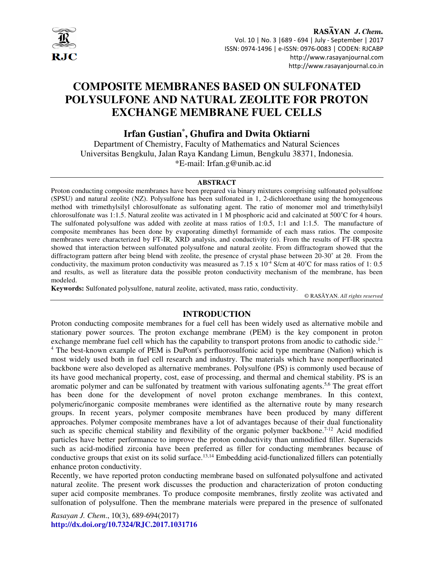

RASAYAN J. Chem. Vol. 10 | No. 3 |689 - 694 | July - September | 2017 ISSN: 0974-1496 | e-ISSN: 0976-0083 | CODEN: RJCABP http://www.rasayanjournal.com http://www.rasayanjournal.co.in

# **COMPOSITE MEMBRANES BASED ON SULFONATED POLYSULFONE AND NATURAL ZEOLITE FOR PROTON EXCHANGE MEMBRANE FUEL CELLS**

**Irfan Gustian\* , Ghufira and Dwita Oktiarni** 

Department of Chemistry, Faculty of Mathematics and Natural Sciences Universitas Bengkulu, Jalan Raya Kandang Limun, Bengkulu 38371, Indonesia. \*E-mail: Irfan.g@unib.ac.id

#### **ABSTRACT**

Proton conducting composite membranes have been prepared via binary mixtures comprising sulfonated polysulfone (SPSU) and natural zeolite (NZ). Polysulfone has been sulfonated in 1, 2-dichloroethane using the homogeneous method with trimethylsilyl chlorosulfonate as sulfonating agent. The ratio of monomer mol and trimethylsilyl chlorosulfonate was 1:1.5. Natural zeolite was activated in 1 M phosphoric acid and calcinated at 500˚C for 4 hours. The sulfonated polysulfone was added with zeolite at mass ratios of 1:0.5, 1:1 and 1:1.5. The manufacture of composite membranes has been done by evaporating dimethyl formamide of each mass ratios. The composite membranes were characterized by FT-IR, XRD analysis, and conductivity (σ). From the results of FT-IR spectra showed that interaction between sulfonated polysulfone and natural zeolite. From diffractogram showed that the diffractogram pattern after being blend with zeolite, the presence of crystal phase between 20-30˚ at 2θ. From the conductivity, the maximum proton conductivity was measured as 7.15 x  $10^{-4}$  S/cm at 40°C for mass ratios of 1:0.5 and results, as well as literature data the possible proton conductivity mechanism of the membrane, has been modeled.

**Keywords:** Sulfonated polysulfone, natural zeolite, activated, mass ratio, conductivity.

© RASĀYAN. *All rights reserved*

## **INTRODUCTION**

Proton conducting composite membranes for a fuel cell has been widely used as alternative mobile and stationary power sources. The proton exchange membrane (PEM) is the key component in proton exchange membrane fuel cell which has the capability to transport protons from anodic to cathodic side.<sup>1-</sup> <sup>4</sup> The best-known example of PEM is DuPont's perfluorosulfonic acid type membrane (Nafion) which is most widely used both in fuel cell research and industry. The materials which have nonperfluorinated backbone were also developed as alternative membranes. Polysulfone (PS) is commonly used because of its have good mechanical property, cost, ease of processing, and thermal and chemical stability. PS is an aromatic polymer and can be sulfonated by treatment with various sulfonating agents.<sup>5,6</sup> The great effort has been done for the development of novel proton exchange membranes. In this context, polymeric/inorganic composite membranes were identified as the alternative route by many research groups. In recent years, polymer composite membranes have been produced by many different approaches. Polymer composite membranes have a lot of advantages because of their dual functionality such as specific chemical stability and flexibility of the organic polymer backbone.<sup>7-12</sup> Acid modified particles have better performance to improve the proton conductivity than unmodified filler. Superacids such as acid-modified zirconia have been preferred as filler for conducting membranes because of conductive groups that exist on its solid surface.<sup>13,14</sup> Embedding acid-functionalized fillers can potentially enhance proton conductivity.

Recently, we have reported proton conducting membrane based on sulfonated polysulfone and activated natural zeolite. The present work discusses the production and characterization of proton conducting super acid composite membranes. To produce composite membranes, firstly zeolite was activated and sulfonation of polysulfone. Then the membrane materials were prepared in the presence of sulfonated

*Rasayan J. Chem*., 10(3), 689-694(2017) **http://dx.doi.org/10.7324/RJC.2017.1031716**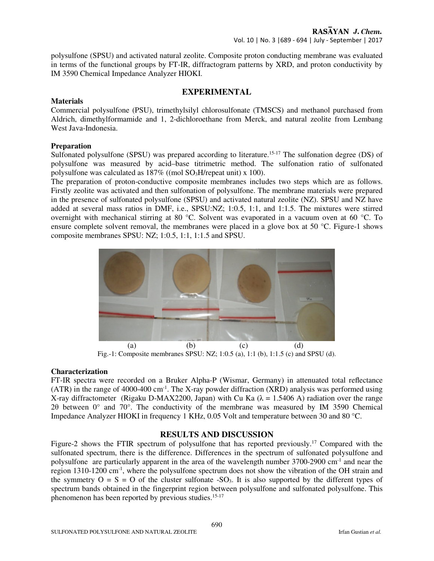polysulfone (SPSU) and activated natural zeolite. Composite proton conducting membrane was evaluated in terms of the functional groups by FT-IR, diffractogram patterns by XRD, and proton conductivity by IM 3590 Chemical Impedance Analyzer HIOKI.

## **EXPERIMENTAL**

## **Materials**

Commercial polysulfone (PSU), trimethylsilyl chlorosulfonate (TMSCS) and methanol purchased from Aldrich, dimethylformamide and 1, 2-dichloroethane from Merck, and natural zeolite from Lembang West Java-Indonesia.

## **Preparation**

Sulfonated polysulfone (SPSU) was prepared according to literature.<sup>15-17</sup> The sulfonation degree (DS) of polysulfone was measured by acid–base titrimetric method. The sulfonation ratio of sulfonated polysulfone was calculated as  $187\%$  ((mol SO<sub>3</sub>H/repeat unit) x 100).

The preparation of proton-conductive composite membranes includes two steps which are as follows. Firstly zeolite was activated and then sulfonation of polysulfone. The membrane materials were prepared in the presence of sulfonated polysulfone (SPSU) and activated natural zeolite (NZ). SPSU and NZ have added at several mass ratios in DMF, i.e., SPSU:NZ; 1:0.5, 1:1, and 1:1.5. The mixtures were stirred overnight with mechanical stirring at 80 °C. Solvent was evaporated in a vacuum oven at 60 °C. To ensure complete solvent removal, the membranes were placed in a glove box at 50 °C. Figure-1 shows composite membranes SPSU: NZ; 1:0.5, 1:1, 1:1.5 and SPSU.



Fig.-1: Composite membranes SPSU: NZ; 1:0.5 (a), 1:1 (b), 1:1.5 (c) and SPSU (d).

## **Characterization**

FT-IR spectra were recorded on a Bruker Alpha-P (Wismar, Germany) in attenuated total reflectance (ATR) in the range of 4000-400 cm-1. The X-ray powder diffraction (XRD) analysis was performed using X-ray diffractometer (Rigaku D-MAX2200, Japan) with Cu Ka ( $\lambda = 1.5406$  A) radiation over the range 20 between  $0^{\circ}$  and  $70^{\circ}$ . The conductivity of the membrane was measured by IM 3590 Chemical Impedance Analyzer HIOKI in frequency 1 KHz, 0.05 Volt and temperature between 30 and 80 °C.

# **RESULTS AND DISCUSSION**

Figure-2 shows the FTIR spectrum of polysulfone that has reported previously.<sup>17</sup> Compared with the sulfonated spectrum, there is the difference. Differences in the spectrum of sulfonated polysulfone and polysulfone are particularly apparent in the area of the wavelength number 3700-2900 cm-1 and near the region 1310-1200 cm<sup>-1</sup>, where the polysulfone spectrum does not show the vibration of the OH strain and the symmetry  $O = S = O$  of the cluster sulfonate -SO<sub>3</sub>. It is also supported by the different types of spectrum bands obtained in the fingerprint region between polysulfone and sulfonated polysulfone. This phenomenon has been reported by previous studies.15-17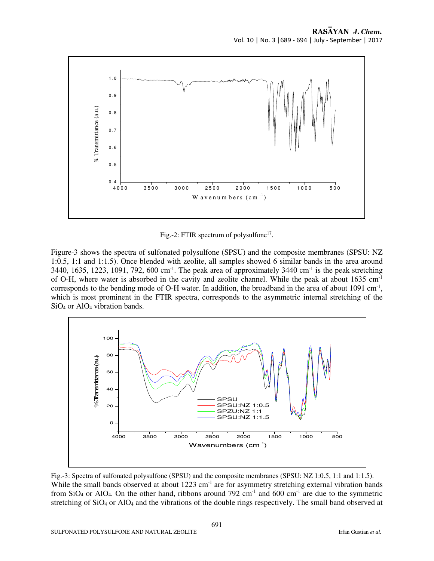

Fig.-2: FTIR spectrum of polysulfone<sup>17</sup>.

Figure-3 shows the spectra of sulfonated polysulfone (SPSU) and the composite membranes (SPSU: NZ 1:0.5, 1:1 and 1:1.5). Once blended with zeolite, all samples showed 6 similar bands in the area around 3440, 1635, 1223, 1091, 792, 600 cm<sup>-1</sup>. The peak area of approximately 3440 cm<sup>-1</sup> is the peak stretching of O-H, where water is absorbed in the cavity and zeolite channel. While the peak at about 1635 cm-1 corresponds to the bending mode of O-H water. In addition, the broadband in the area of about  $1091 \text{ cm}^{-1}$ , which is most prominent in the FTIR spectra, corresponds to the asymmetric internal stretching of the SiO4 or AlO4 vibration bands.



Fig.-3: Spectra of sulfonated polysulfone (SPSU) and the composite membranes (SPSU: NZ 1:0.5, 1:1 and 1:1.5). While the small bands observed at about  $1223 \text{ cm}^{-1}$  are for asymmetry stretching external vibration bands from  $SiO_4$  or AlO<sub>4</sub>. On the other hand, ribbons around 792 cm<sup>-1</sup> and 600 cm<sup>-1</sup> are due to the symmetric stretching of SiO<sub>4</sub> or AlO<sub>4</sub> and the vibrations of the double rings respectively. The small band observed at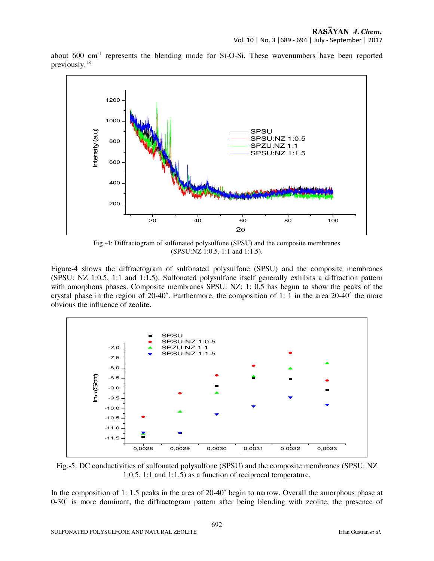about  $600 \text{ cm}^{-1}$  represents the blending mode for Si-O-Si. These wavenumbers have been reported previously.<sup>18</sup>



Fig.-4: Diffractogram of sulfonated polysulfone (SPSU) and the composite membranes (SPSU:NZ 1:0.5, 1:1 and 1:1.5).

Figure-4 shows the diffractogram of sulfonated polysulfone (SPSU) and the composite membranes (SPSU: NZ 1:0.5, 1:1 and 1:1.5). Sulfonated polysulfone itself generally exhibits a diffraction pattern with amorphous phases. Composite membranes SPSU: NZ; 1: 0.5 has begun to show the peaks of the crystal phase in the region of 20-40˚. Furthermore, the composition of 1: 1 in the area 20-40˚ the more obvious the influence of zeolite.



Fig.-5: DC conductivities of sulfonated polysulfone (SPSU) and the composite membranes (SPSU: NZ 1:0.5, 1:1 and 1:1.5) as a function of reciprocal temperature.

In the composition of 1: 1.5 peaks in the area of 20-40˚ begin to narrow. Overall the amorphous phase at 0-30˚ is more dominant, the diffractogram pattern after being blending with zeolite, the presence of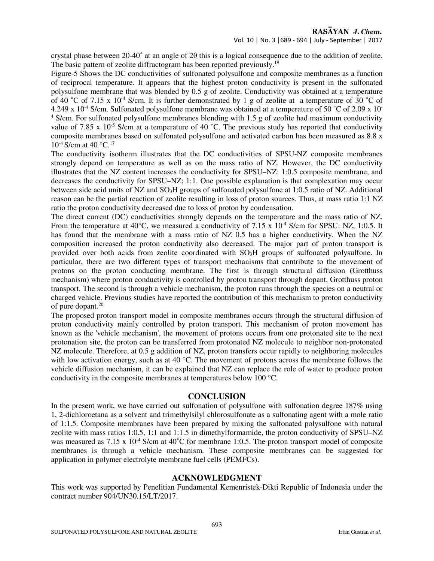crystal phase between 20-40˚ at an angle of 2θ this is a logical consequence due to the addition of zeolite. The basic pattern of zeolite diffractogram has been reported previously.<sup>19</sup>

Figure-5 Shows the DC conductivities of sulfonated polysulfone and composite membranes as a function of reciprocal temperature. It appears that the highest proton conductivity is present in the sulfonated polysulfone membrane that was blended by 0.5 g of zeolite. Conductivity was obtained at a temperature of 40 °C of 7.15 x 10<sup>-4</sup> S/cm. It is further demonstrated by 1 g of zeolite at a temperature of 30 °C of 4.249 x 10<sup>-4</sup> S/cm. Sulfonated polysulfone membrane was obtained at a temperature of 50 °C of 2.09 x 10<sup>-</sup> <sup>4</sup> S/cm. For sulfonated polysulfone membranes blending with 1.5 g of zeolite had maximum conductivity value of 7.85 x  $10^{-5}$  S/cm at a temperature of 40 °C. The previous study has reported that conductivity composite membranes based on sulfonated polysulfone and activated carbon has been measured as 8.8 x  $10^{-4}$  S/cm at 40 °C.<sup>17</sup>

The conductivity isotherm illustrates that the DC conductivities of SPSU-NZ composite membranes strongly depend on temperature as well as on the mass ratio of NZ. However, the DC conductivity illustrates that the NZ content increases the conductivity for SPSU–NZ: 1:0.5 composite membrane, and decreases the conductivity for SPSU–NZ; 1:1. One possible explanation is that complexation may occur between side acid units of NZ and SO<sub>3</sub>H groups of sulfonated polysulfone at 1:0.5 ratio of NZ. Additional reason can be the partial reaction of zeolite resulting in loss of proton sources. Thus, at mass ratio 1:1 NZ ratio the proton conductivity decreased due to loss of proton by condensation.

The direct current (DC) conductivities strongly depends on the temperature and the mass ratio of NZ. From the temperature at  $40^{\circ}$ C, we measured a conductivity of 7.15 x  $10^{-4}$  S/cm for SPSU: NZ, 1:0.5. It has found that the membrane with a mass ratio of NZ 0.5 has a higher conductivity. When the NZ composition increased the proton conductivity also decreased. The major part of proton transport is provided over both acids from zeolite coordinated with SO3H groups of sulfonated polysulfone. In particular, there are two different types of transport mechanisms that contribute to the movement of protons on the proton conducting membrane. The first is through structural diffusion (Grotthuss mechanism) where proton conductivity is controlled by proton transport through dopant, Grotthuss proton transport. The second is through a vehicle mechanism, the proton runs through the species on a neutral or charged vehicle. Previous studies have reported the contribution of this mechanism to proton conductivity of pure dopant.<sup>20</sup>

The proposed proton transport model in composite membranes occurs through the structural diffusion of proton conductivity mainly controlled by proton transport. This mechanism of proton movement has known as the 'vehicle mechanism', the movement of protons occurs from one protonated site to the next protonation site, the proton can be transferred from protonated NZ molecule to neighbor non-protonated NZ molecule. Therefore, at 0.5 g addition of NZ, proton transfers occur rapidly to neighboring molecules with low activation energy, such as at 40 °C. The movement of protons across the membrane follows the vehicle diffusion mechanism, it can be explained that NZ can replace the role of water to produce proton conductivity in the composite membranes at temperatures below 100 °C.

## **CONCLUSION**

In the present work, we have carried out sulfonation of polysulfone with sulfonation degree 187% using 1, 2-dichloroetana as a solvent and trimethylsilyl chlorosulfonate as a sulfonating agent with a mole ratio of 1:1.5. Composite membranes have been prepared by mixing the sulfonated polysulfone with natural zeolite with mass ratios 1:0.5, 1:1 and 1:1.5 in dimethylformamide, the proton conductivity of SPSU–NZ was measured as  $7.15 \times 10^{-4}$  S/cm at 40°C for membrane 1:0.5. The proton transport model of composite membranes is through a vehicle mechanism. These composite membranes can be suggested for application in polymer electrolyte membrane fuel cells (PEMFCs).

## **ACKNOWLEDGMENT**

This work was supported by Penelitian Fundamental Kemenristek-Dikti Republic of Indonesia under the contract number 904/UN30.15/LT/2017.